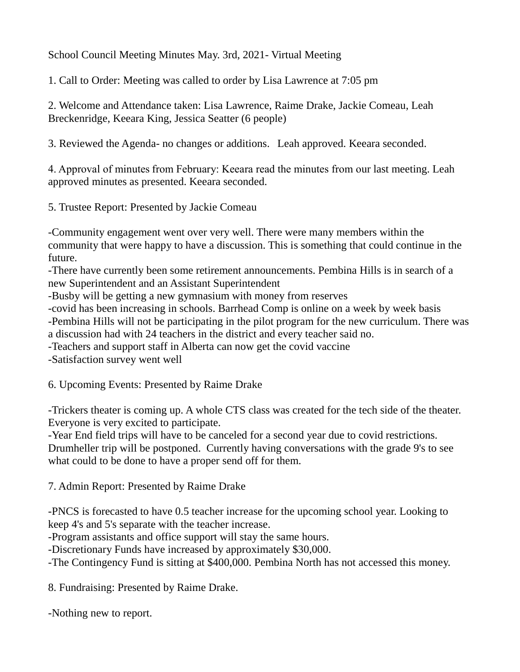School Council Meeting Minutes May. 3rd, 2021- Virtual Meeting

1. Call to Order: Meeting was called to order by Lisa Lawrence at 7:05 pm

2. Welcome and Attendance taken: Lisa Lawrence, Raime Drake, Jackie Comeau, Leah Breckenridge, Keeara King, Jessica Seatter (6 people)

3. Reviewed the Agenda- no changes or additions. Leah approved. Keeara seconded.

4. Approval of minutes from February: Keeara read the minutes from our last meeting. Leah approved minutes as presented. Keeara seconded.

5. Trustee Report: Presented by Jackie Comeau

-Community engagement went over very well. There were many members within the community that were happy to have a discussion. This is something that could continue in the future.

-There have currently been some retirement announcements. Pembina Hills is in search of a new Superintendent and an Assistant Superintendent

-Busby will be getting a new gymnasium with money from reserves

-covid has been increasing in schools. Barrhead Comp is online on a week by week basis -Pembina Hills will not be participating in the pilot program for the new curriculum. There was a discussion had with 24 teachers in the district and every teacher said no. -Teachers and support staff in Alberta can now get the covid vaccine

-Satisfaction survey went well

6. Upcoming Events: Presented by Raime Drake

-Trickers theater is coming up. A whole CTS class was created for the tech side of the theater. Everyone is very excited to participate.

-Year End field trips will have to be canceled for a second year due to covid restrictions.

Drumheller trip will be postponed. Currently having conversations with the grade 9's to see what could to be done to have a proper send off for them.

7. Admin Report: Presented by Raime Drake

-PNCS is forecasted to have 0.5 teacher increase for the upcoming school year. Looking to keep 4's and 5's separate with the teacher increase.

-Program assistants and office support will stay the same hours.

-Discretionary Funds have increased by approximately \$30,000.

-The Contingency Fund is sitting at \$400,000. Pembina North has not accessed this money.

8. Fundraising: Presented by Raime Drake.

-Nothing new to report.